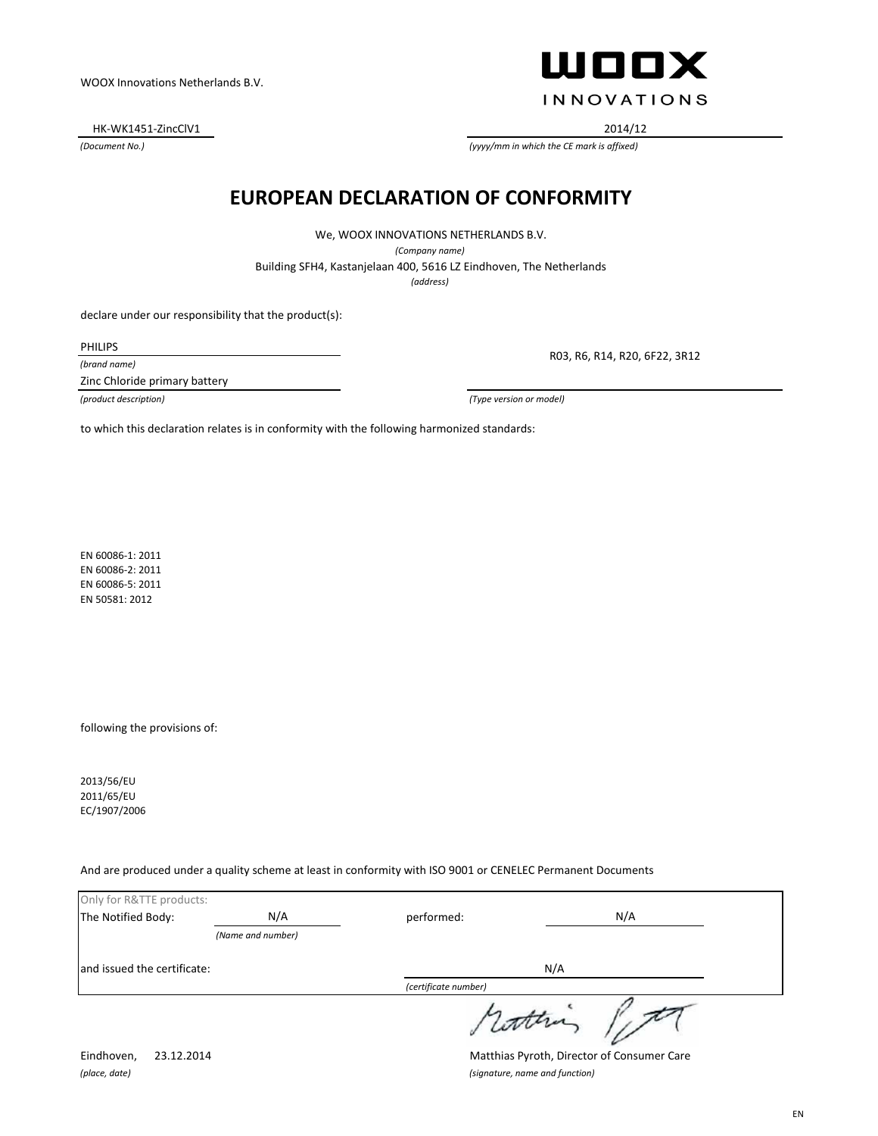HK-WK1451-ZincClV1 2014/12

*(Document No.)*

ШООХ **INNOVATIONS** 

*(yyyy/mm in which the CE mark is affixed)*

#### **EUROPEAN DECLARATION OF CONFORMITY**

We, WOOX INNOVATIONS NETHERLANDS B.V. *(Company name)* Building SFH4, Kastanjelaan 400, 5616 LZ Eindhoven, The Netherlands *(address)*

declare under our responsibility that the product(s):

PHILIPS

*(brand name)*

Zinc Chloride primary battery

R03, R6, R14, R20, 6F22, 3R12

*(product description) (Type version or model)*

to which this declaration relates is in conformity with the following harmonized standards:

EN 60086-1: 2011 EN 60086-2: 2011 EN 60086-5: 2011 EN 50581: 2012

following the provisions of:

2013/56/EU 2011/65/EU EC/1907/2006

And are produced under a quality scheme at least in conformity with ISO 9001 or CENELEC Permanent Documents

| Only for R&TTE products:    |                   |                      |  |
|-----------------------------|-------------------|----------------------|--|
| The Notified Body:          | N/A               | N/A<br>performed:    |  |
|                             | (Name and number) |                      |  |
| and issued the certificate: |                   | N/A                  |  |
|                             |                   | (certificate number) |  |
|                             |                   | 1 comments           |  |

*(place, date) (signature, name and function)*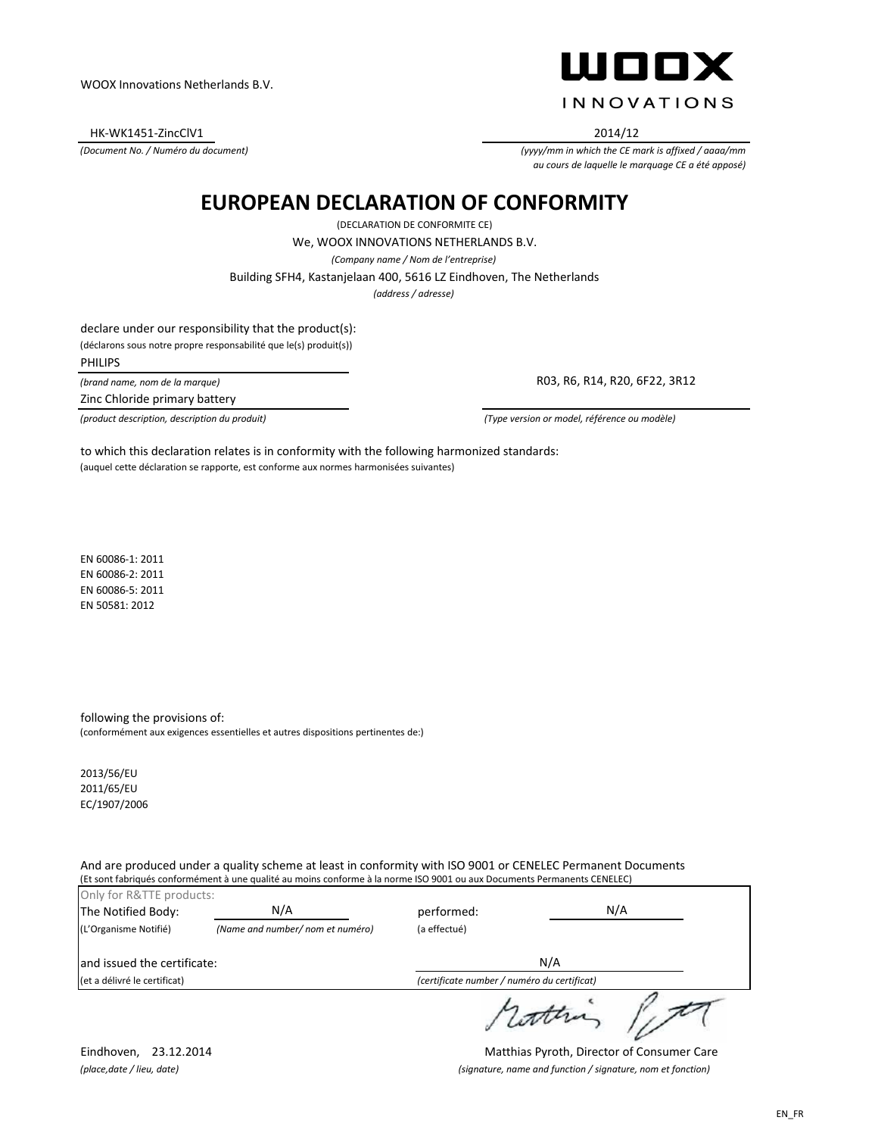HK-WK1451-ZincClV1 2014/12

*(Document No. / Numéro du document)*



*(yyyy/mm in which the CE mark is affixed / aaaa/mm au cours de laquelle le marquage CE a été apposé)*

### **EUROPEAN DECLARATION OF CONFORMITY**

(DECLARATION DE CONFORMITE CE) *(address / adresse)* Building SFH4, Kastanjelaan 400, 5616 LZ Eindhoven, The Netherlands We, WOOX INNOVATIONS NETHERLANDS B.V. *(Company name / Nom de l'entreprise)*

declare under our responsibility that the product(s):

(déclarons sous notre propre responsabilité que le(s) produit(s))

PHILIPS

*(brand name, nom de la marque)*

Zinc Chloride primary battery

R03, R6, R14, R20, 6F22, 3R12

*(product description, description du produit) (Type version or model, référence ou modèle)*

(auquel cette déclaration se rapporte, est conforme aux normes harmonisées suivantes) to which this declaration relates is in conformity with the following harmonized standards:

EN 60086-1: 2011 EN 60086-2: 2011 EN 60086-5: 2011 EN 50581: 2012

following the provisions of: (conformément aux exigences essentielles et autres dispositions pertinentes de:)

2013/56/EU 2011/65/EU EC/1907/2006

And are produced under a quality scheme at least in conformity with ISO 9001 or CENELEC Permanent Documents (Et sont fabriqués conformément à une qualité au moins conforme à la norme ISO 9001 ou aux Documents Permanents CENELEC)

| Only for R&TTE products:<br>The Notified Body: | N/A                              | performed:   | N/A                                         |
|------------------------------------------------|----------------------------------|--------------|---------------------------------------------|
| (L'Organisme Notifié)                          | (Name and number/ nom et numéro) | (a effectué) |                                             |
| land issued the certificate:                   |                                  |              | N/A                                         |
| (et a délivré le certificat)                   |                                  |              | (certificate number / numéro du certificat) |
|                                                |                                  |              |                                             |

Eindhoven, 23.12.2014 Matthias Pyroth, Director of Consumer Care *(place,date / lieu, date) (signature, name and function / signature, nom et fonction)*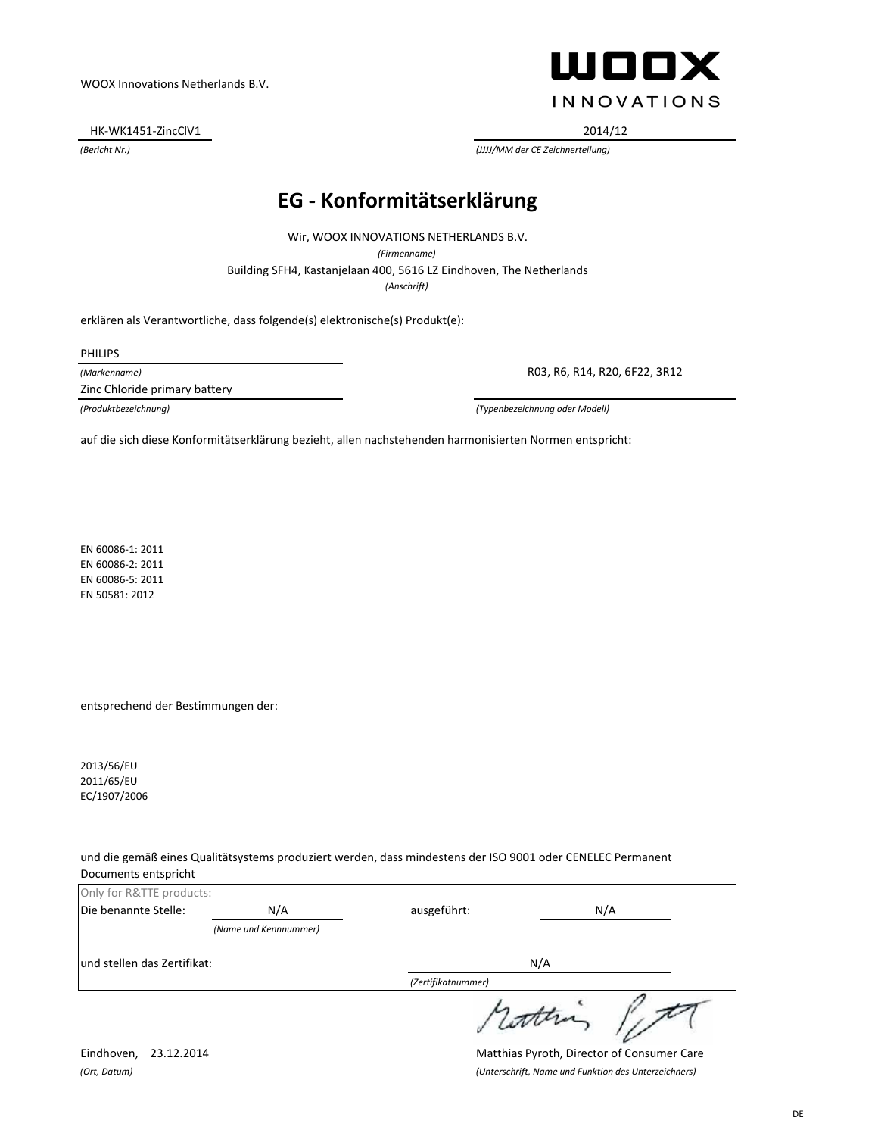HK-WK1451-ZincClV1 2014/12

**WOOX INNOVATIONS** 

*(Bericht Nr.) (JJJJ/MM der CE Zeichnerteilung)*

### **EG - Konformitätserklärung**

*(Anschrift)* Building SFH4, Kastanjelaan 400, 5616 LZ Eindhoven, The Netherlands Wir, WOOX INNOVATIONS NETHERLANDS B.V. *(Firmenname)*

erklären als Verantwortliche, dass folgende(s) elektronische(s) Produkt(e):

PHILIPS

*(Markenname)*

Zinc Chloride primary battery

R03, R6, R14, R20, 6F22, 3R12

*(Produktbezeichnung) (Typenbezeichnung oder Modell)*

auf die sich diese Konformitätserklärung bezieht, allen nachstehenden harmonisierten Normen entspricht:

EN 60086-1: 2011 EN 60086-2: 2011 EN 60086-5: 2011 EN 50581: 2012

entsprechend der Bestimmungen der:

2013/56/EU 2011/65/EU EC/1907/2006

und die gemäß eines Qualitätsystems produziert werden, dass mindestens der ISO 9001 oder CENELEC Permanent Documents entspricht

| Only for R&TTE products:    |                       |                    |         |
|-----------------------------|-----------------------|--------------------|---------|
| Die benannte Stelle:        | N/A                   | ausgeführt:        | N/A     |
|                             | (Name und Kennnummer) |                    |         |
| und stellen das Zertifikat: |                       |                    | N/A     |
|                             |                       | (Zertifikatnummer) |         |
|                             |                       |                    | 1 compa |

Eindhoven, 23.12.2014 Matthias Pyroth, Director of Consumer Care *(Ort, Datum) (Unterschrift, Name und Funktion des Unterzeichners)*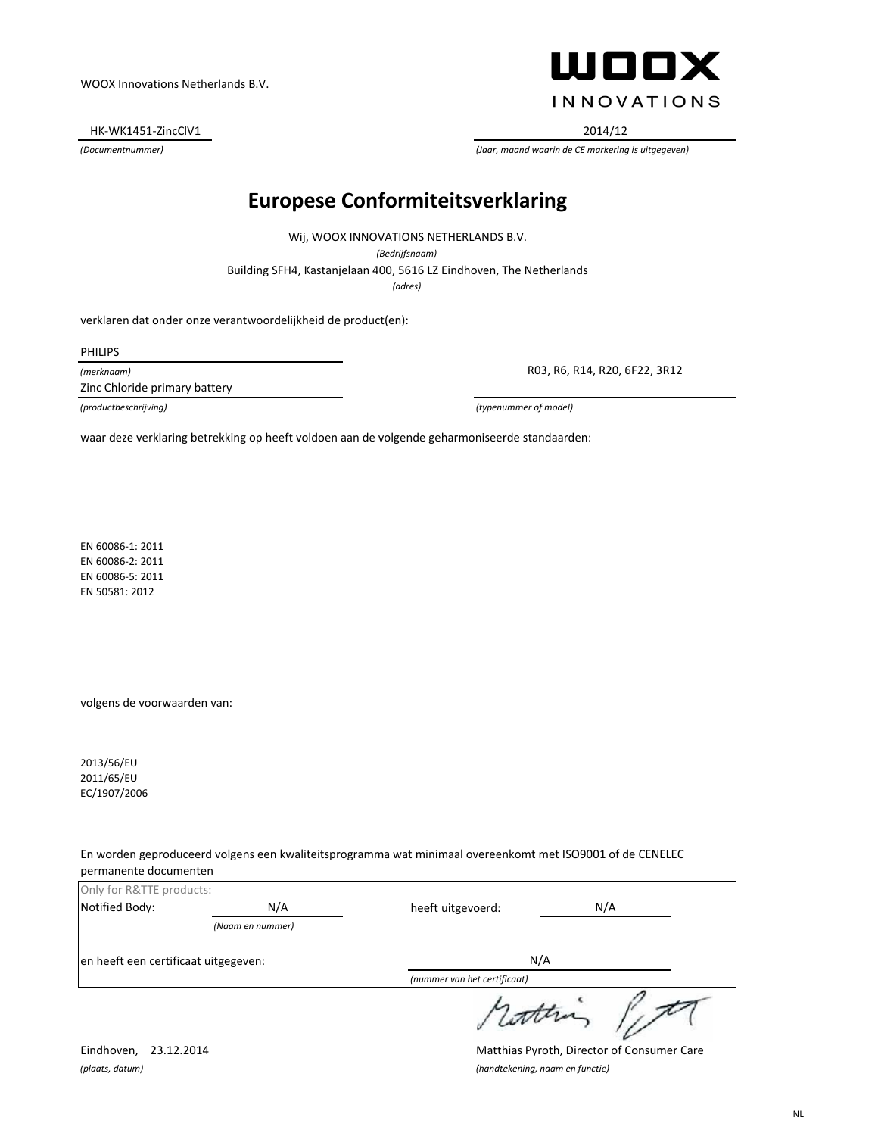HK-WK1451-ZincClV1 2014/12



*(Documentnummer) (Jaar, maand waarin de CE markering is uitgegeven)*

### **Europese Conformiteitsverklaring**

Building SFH4, Kastanjelaan 400, 5616 LZ Eindhoven, The Netherlands Wij, WOOX INNOVATIONS NETHERLANDS B.V. *(Bedrijfsnaam) (adres)*

verklaren dat onder onze verantwoordelijkheid de product(en):

PHILIPS

*(merknaam)*

Zinc Chloride primary battery

R03, R6, R14, R20, 6F22, 3R12

*(productbeschrijving) (typenummer of model)*

waar deze verklaring betrekking op heeft voldoen aan de volgende geharmoniseerde standaarden:

EN 60086-1: 2011 EN 60086-2: 2011 EN 60086-5: 2011 EN 50581: 2012

volgens de voorwaarden van:

2013/56/EU 2011/65/EU EC/1907/2006

En worden geproduceerd volgens een kwaliteitsprogramma wat minimaal overeenkomt met ISO9001 of de CENELEC permanente documenten

| Only for R&TTE products:             |                  |                              |     |
|--------------------------------------|------------------|------------------------------|-----|
| Notified Body:                       | N/A              | heeft uitgevoerd:            | N/A |
|                                      | (Naam en nummer) |                              |     |
| en heeft een certificaat uitgegeven: |                  |                              | N/A |
|                                      |                  | (nummer van het certificaat) |     |
|                                      |                  |                              |     |

Eindhoven, 23.12.2014 Matthias Pyroth, Director of Consumer Care *(plaats, datum) (handtekening, naam en functie)*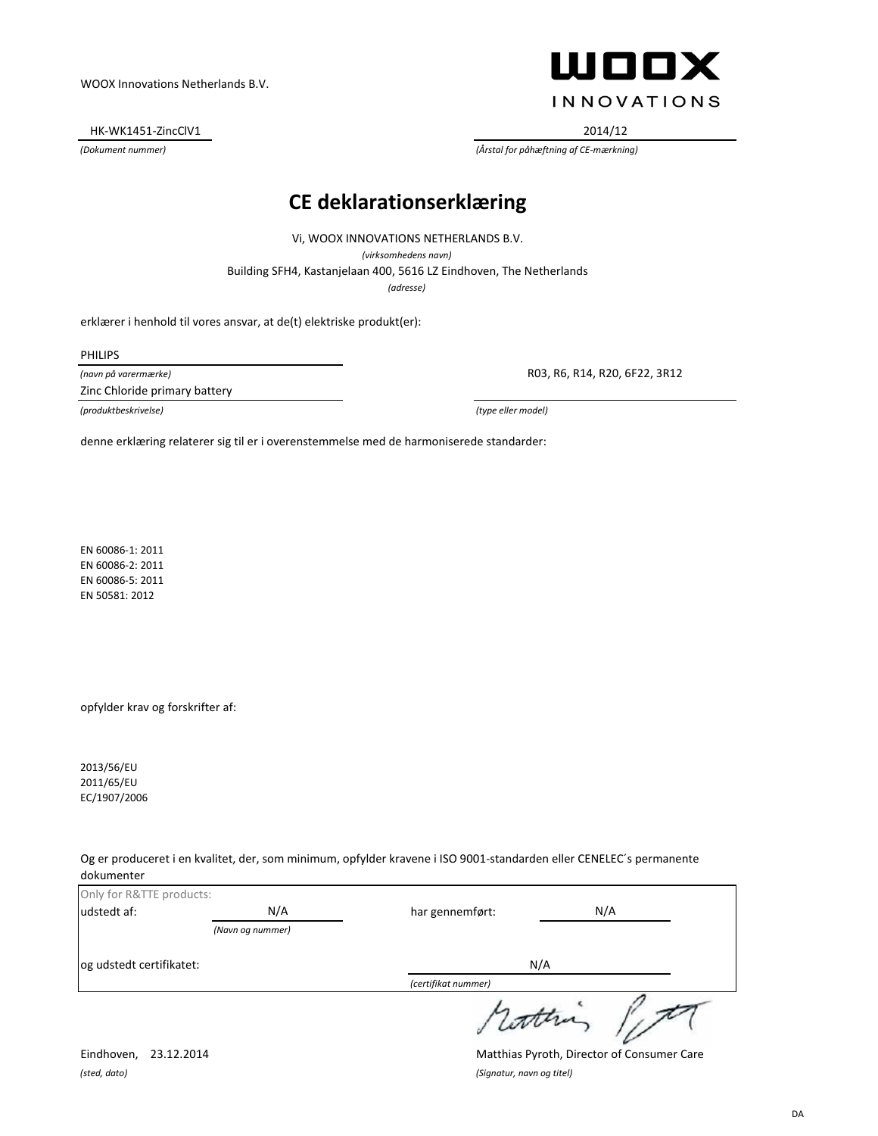HK-WK1451-ZincClV1 2014/12

# **WOOX INNOVATIONS**

*(Dokument nummer) (Årstal for påhæftning af CE-mærkning)*

#### **CE deklarationserklæring**

*(adresse)* Building SFH4, Kastanjelaan 400, 5616 LZ Eindhoven, The Netherlands Vi, WOOX INNOVATIONS NETHERLANDS B.V. *(virksomhedens navn)*

erklærer i henhold til vores ansvar, at de(t) elektriske produkt(er):

PHILIPS

*(navn på varermærke)* Zinc Chloride primary battery

*(produktbeskrivelse) (type eller model)*

R03, R6, R14, R20, 6F22, 3R12

denne erklæring relaterer sig til er i overenstemmelse med de harmoniserede standarder:

EN 60086-1: 2011 EN 60086-2: 2011 EN 60086-5: 2011 EN 50581: 2012

opfylder krav og forskrifter af:

2013/56/EU 2011/65/EU EC/1907/2006

Og er produceret i en kvalitet, der, som minimum, opfylder kravene i ISO 9001-standarden eller CENELEC´s permanente dokumenter

| Only for R&TTE products: |                  |                     |     |
|--------------------------|------------------|---------------------|-----|
| udstedt af:              | N/A              | har gennemført:     | N/A |
|                          | (Navn og nummer) |                     |     |
| og udstedt certifikatet: |                  |                     | N/A |
|                          |                  | (certifikat nummer) |     |
|                          |                  | sutting             |     |

*(sted, dato) (Signatur, navn og titel)*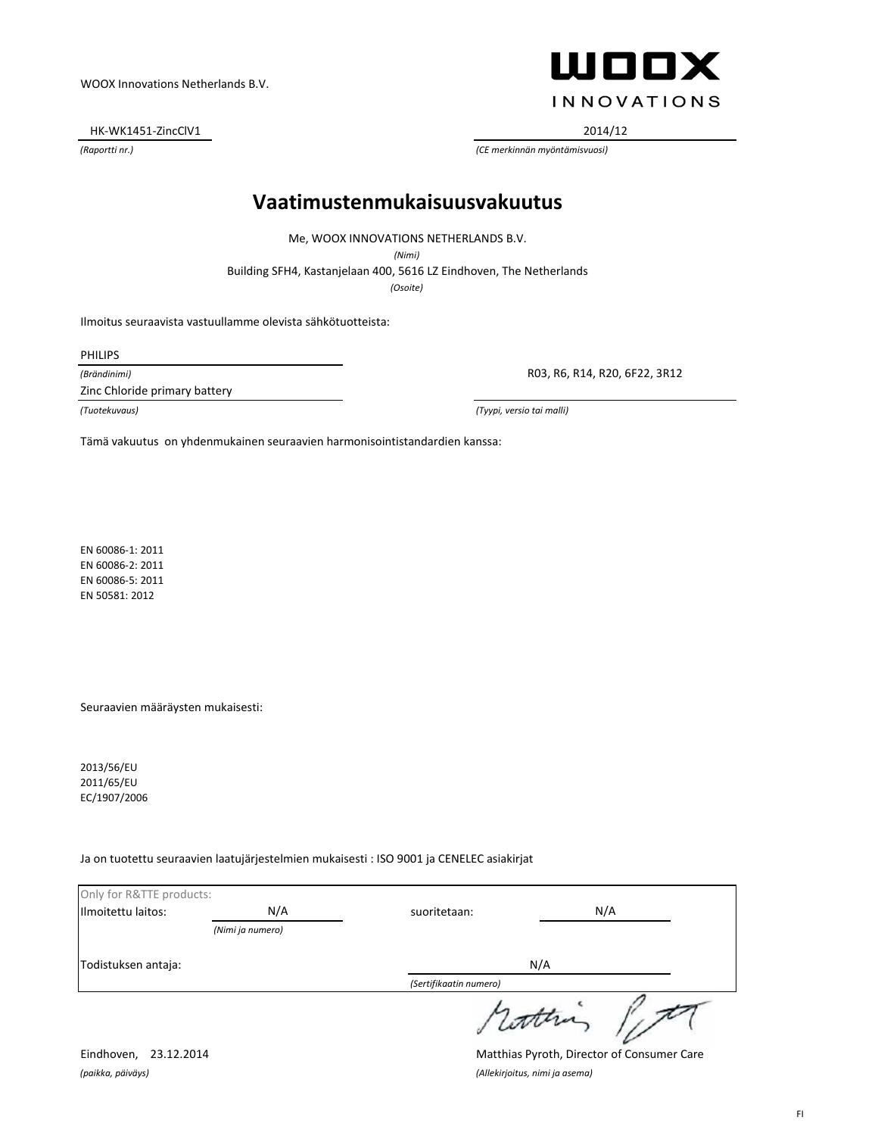HK-WK1451-ZincClV1 2014/12

**WOOX INNOVATIONS** 

*(Raportti nr.) (CE merkinnän myöntämisvuosi)*

### **Vaatimustenmukaisuusvakuutus**

Me, WOOX INNOVATIONS NETHERLANDS B.V.

*(Nimi)*

Building SFH4, Kastanjelaan 400, 5616 LZ Eindhoven, The Netherlands

*(Osoite)*

Ilmoitus seuraavista vastuullamme olevista sähkötuotteista:

PHILIPS

*(Brändinimi)*

Zinc Chloride primary battery

R03, R6, R14, R20, 6F22, 3R12

*(Tuotekuvaus) (Tyypi, versio tai malli)*

Tämä vakuutus on yhdenmukainen seuraavien harmonisointistandardien kanssa:

EN 60086-1: 2011 EN 60086-2: 2011 EN 60086-5: 2011 EN 50581: 2012

Seuraavien määräysten mukaisesti:

2013/56/EU 2011/65/EU EC/1907/2006

Ja on tuotettu seuraavien laatujärjestelmien mukaisesti : ISO 9001 ja CENELEC asiakirjat

| Only for R&TTE products: |                  |                        |     |
|--------------------------|------------------|------------------------|-----|
| Ilmoitettu laitos:       | N/A              | suoritetaan:           | N/A |
|                          | (Nimi ja numero) |                        |     |
| Todistuksen antaja:      |                  |                        | N/A |
|                          |                  | (Sertifikaatin numero) |     |
|                          |                  | sconna                 |     |

*(paikka, päiväys) (Allekirjoitus, nimi ja asema)*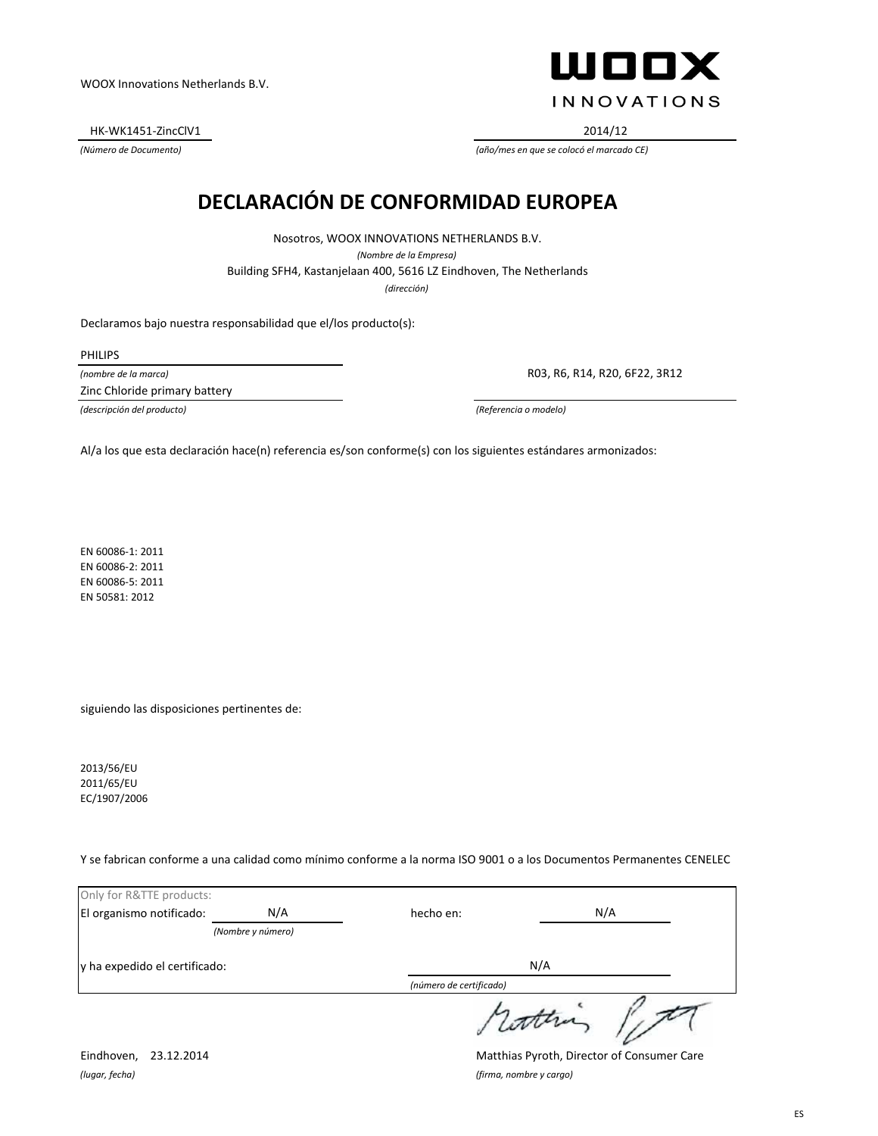HK-WK1451-ZincClV1 2014/12

ШООХ **INNOVATIONS** 

*(Número de Documento) (año/mes en que se colocó el marcado CE)*

## **DECLARACIÓN DE CONFORMIDAD EUROPEA**

*(dirección)* Building SFH4, Kastanjelaan 400, 5616 LZ Eindhoven, The Netherlands Nosotros, WOOX INNOVATIONS NETHERLANDS B.V. *(Nombre de la Empresa)*

Declaramos bajo nuestra responsabilidad que el/los producto(s):

PHILIPS

*(nombre de la marca)*

Zinc Chloride primary battery

R03, R6, R14, R20, 6F22, 3R12

*(descripción del producto) (Referencia o modelo)*

Al/a los que esta declaración hace(n) referencia es/son conforme(s) con los siguientes estándares armonizados:

EN 60086-1: 2011 EN 60086-2: 2011 EN 60086-5: 2011 EN 50581: 2012

siguiendo las disposiciones pertinentes de:

2013/56/EU 2011/65/EU EC/1907/2006

Y se fabrican conforme a una calidad como mínimo conforme a la norma ISO 9001 o a los Documentos Permanentes CENELEC

| Only for R&TTE products:      |                   |                         |     |
|-------------------------------|-------------------|-------------------------|-----|
| El organismo notificado:      | N/A               | hecho en:               | N/A |
|                               | (Nombre y número) |                         |     |
| y ha expedido el certificado: |                   |                         | N/A |
|                               |                   | (número de certificado) |     |
|                               |                   |                         |     |

*(lugar, fecha) (firma, nombre y cargo)*

Eindhoven, 23.12.2014 Matthias Pyroth, Director of Consumer Care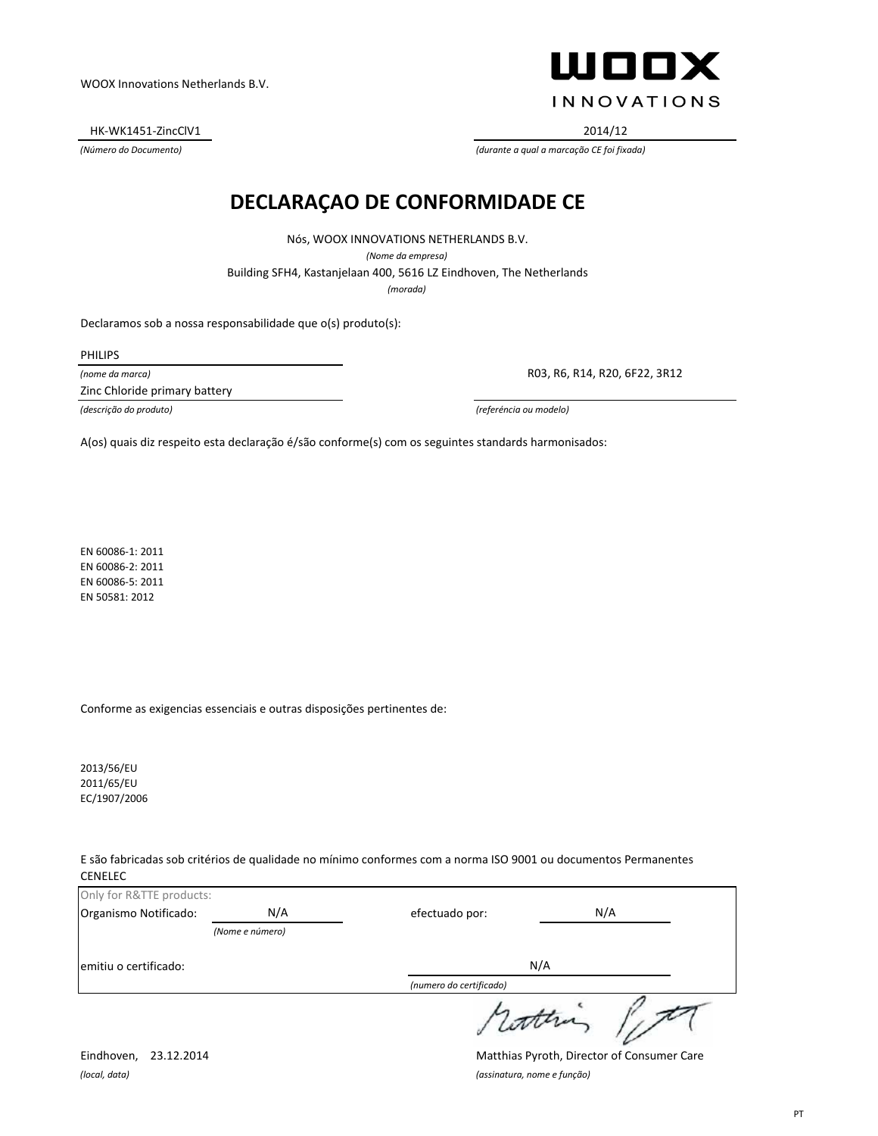HK-WK1451-ZincClV1 2014/12

ШООХ **INNOVATIONS** 

*(Número do Documento) (durante a qual a marcação CE foi fixada)*

#### **DECLARAÇAO DE CONFORMIDADE CE**

Nós, WOOX INNOVATIONS NETHERLANDS B.V. *(Nome da empresa)*

Building SFH4, Kastanjelaan 400, 5616 LZ Eindhoven, The Netherlands

*(morada)*

Declaramos sob a nossa responsabilidade que o(s) produto(s):

PHILIPS

*(nome da marca)*

Zinc Chloride primary battery

R03, R6, R14, R20, 6F22, 3R12

*(descrição do produto) (referéncia ou modelo)*

A(os) quais diz respeito esta declaração é/são conforme(s) com os seguintes standards harmonisados:

EN 60086-1: 2011 EN 60086-2: 2011 EN 60086-5: 2011 EN 50581: 2012

Conforme as exigencias essenciais e outras disposições pertinentes de:

2013/56/EU 2011/65/EU EC/1907/2006

E são fabricadas sob critérios de qualidade no mínimo conformes com a norma ISO 9001 ou documentos Permanentes CENELEC

| Only for R&TTE products: |                 |                         |  |
|--------------------------|-----------------|-------------------------|--|
| Organismo Notificado:    | N/A             | N/A<br>efectuado por:   |  |
|                          | (Nome e número) |                         |  |
| emitiu o certificado:    |                 | N/A                     |  |
|                          |                 | (numero do certificado) |  |
|                          |                 |                         |  |

*(local, data) (assinatura, nome e função)*

Eindhoven, 23.12.2014 Matthias Pyroth, Director of Consumer Care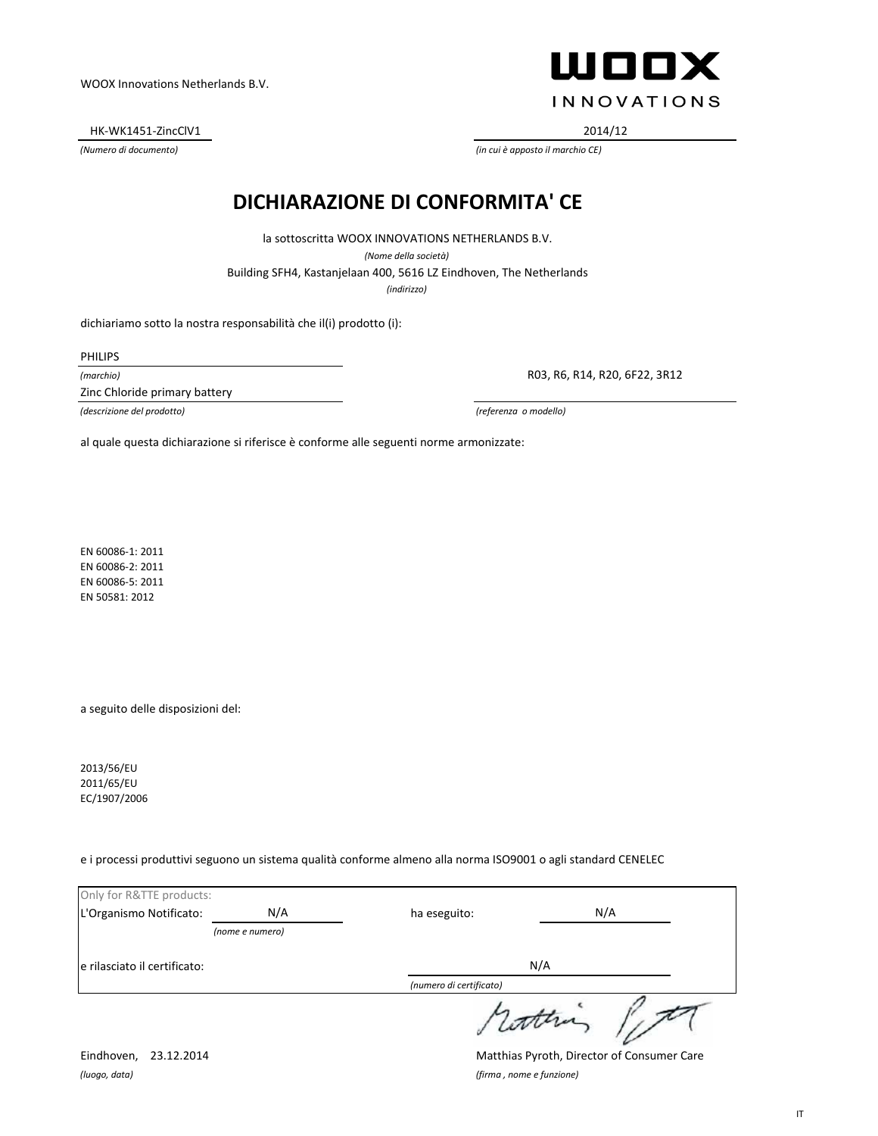HK-WK1451-ZincClV1 2014/12

**WOOX INNOVATIONS** 

*(Numero di documento) (in cui è apposto il marchio CE)*

### **DICHIARAZIONE DI CONFORMITA' CE**

*(indirizzo)* Building SFH4, Kastanjelaan 400, 5616 LZ Eindhoven, The Netherlands la sottoscritta WOOX INNOVATIONS NETHERLANDS B.V. *(Nome della società)*

dichiariamo sotto la nostra responsabilità che il(i) prodotto (i):

PHILIPS

*(marchio)*

Zinc Chloride primary battery

R03, R6, R14, R20, 6F22, 3R12

*(descrizione del prodotto) (referenza o modello)*

al quale questa dichiarazione si riferisce è conforme alle seguenti norme armonizzate:

EN 60086-1: 2011 EN 60086-2: 2011 EN 60086-5: 2011 EN 50581: 2012

a seguito delle disposizioni del:

2013/56/EU 2011/65/EU EC/1907/2006

e i processi produttivi seguono un sistema qualità conforme almeno alla norma ISO9001 o agli standard CENELEC

| Only for R&TTE products:     |                 |                         |     |
|------------------------------|-----------------|-------------------------|-----|
| L'Organismo Notificato:      | N/A             | ha eseguito:            | N/A |
|                              | (nome e numero) |                         |     |
| e rilasciato il certificato: |                 | N/A                     |     |
|                              |                 | (numero di certificato) |     |
|                              |                 | surin                   |     |

*(luogo, data) (firma , nome e funzione)*

Eindhoven, 23.12.2014 Matthias Pyroth, Director of Consumer Care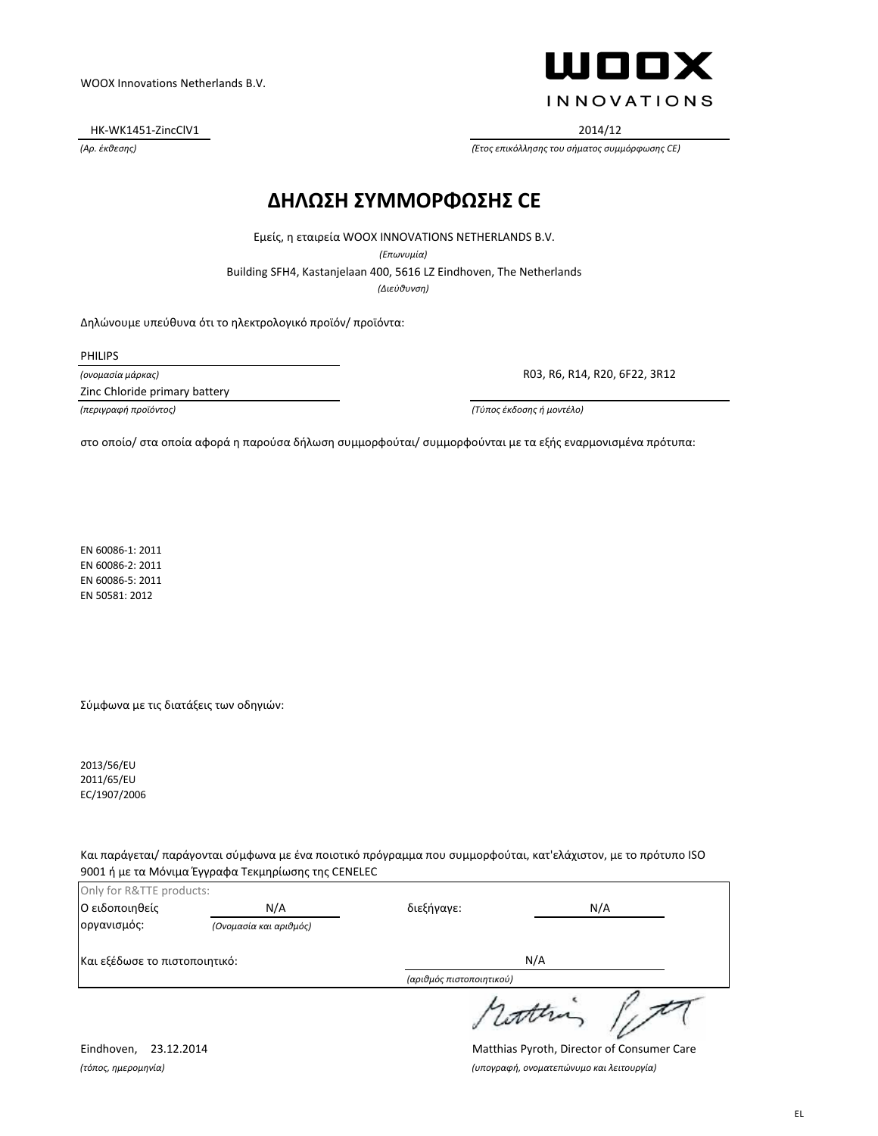HK-WK1451-ZincClV1 2014/12

ШООХ **INNOVATIONS** 

*(Αρ. έκθεσης) (Έτος επικόλλησης του σήματος συμμόρφωσης CE)*

#### **ΔΗΛΩΣΗ ΣΥΜΜΟΡΦΩΣΗΣ CE**

Εμείς, η εταιρεία WOOX INNOVATIONS NETHERLANDS B.V.

*(Επωνυμία)*

Building SFH4, Kastanjelaan 400, 5616 LZ Eindhoven, The Netherlands

*(Διεύθυνση)*

Δηλώνουμε υπεύθυνα ότι το ηλεκτρολογικό προϊόν/ προϊόντα:

PHILIPS

*(ονομασία μάρκας)*

Zinc Chloride primary battery

R03, R6, R14, R20, 6F22, 3R12

*(περιγραφή προϊόντος) (Τύπος έκδοσης ή μοντέλο)*

στο οποίο/ στα οποία αφορά η παρούσα δήλωση συμμορφούται/ συμμορφούνται με τα εξής εναρμονισμένα πρότυπα:

EN 60086-1: 2011 EN 60086-2: 2011 EN 60086-5: 2011 EN 50581: 2012

Σύμφωνα με τις διατάξεις των οδηγιών:

2013/56/EU 2011/65/EU EC/1907/2006

Και παράγεται/ παράγονται σύμφωνα με ένα ποιοτικό πρόγραμμα που συμμορφούται, κατ'ελάχιστον, με το πρότυπο ISO 9001 ή με τα Μόνιμα Έγγραφα Τεκμηρίωσης της CENELEC

| Only for R&TTE products:      |                        |                          |     |
|-------------------------------|------------------------|--------------------------|-----|
| Ο ειδοποιηθείς                | N/A                    | διεξήγαγε:               | N/A |
| οργανισμός:                   | (Ονομασία και αριθμός) |                          |     |
| Και εξέδωσε το πιστοποιητικό: |                        | N/A                      |     |
|                               |                        | (αριθμός πιστοποιητικού) |     |
|                               |                        |                          |     |

Eindhoven, 23.12.2014 Matthias Pyroth, Director of Consumer Care *(τόπος, ημερομηνία) (υπογραφή, ονοματεπώνυμο και λειτουργία)*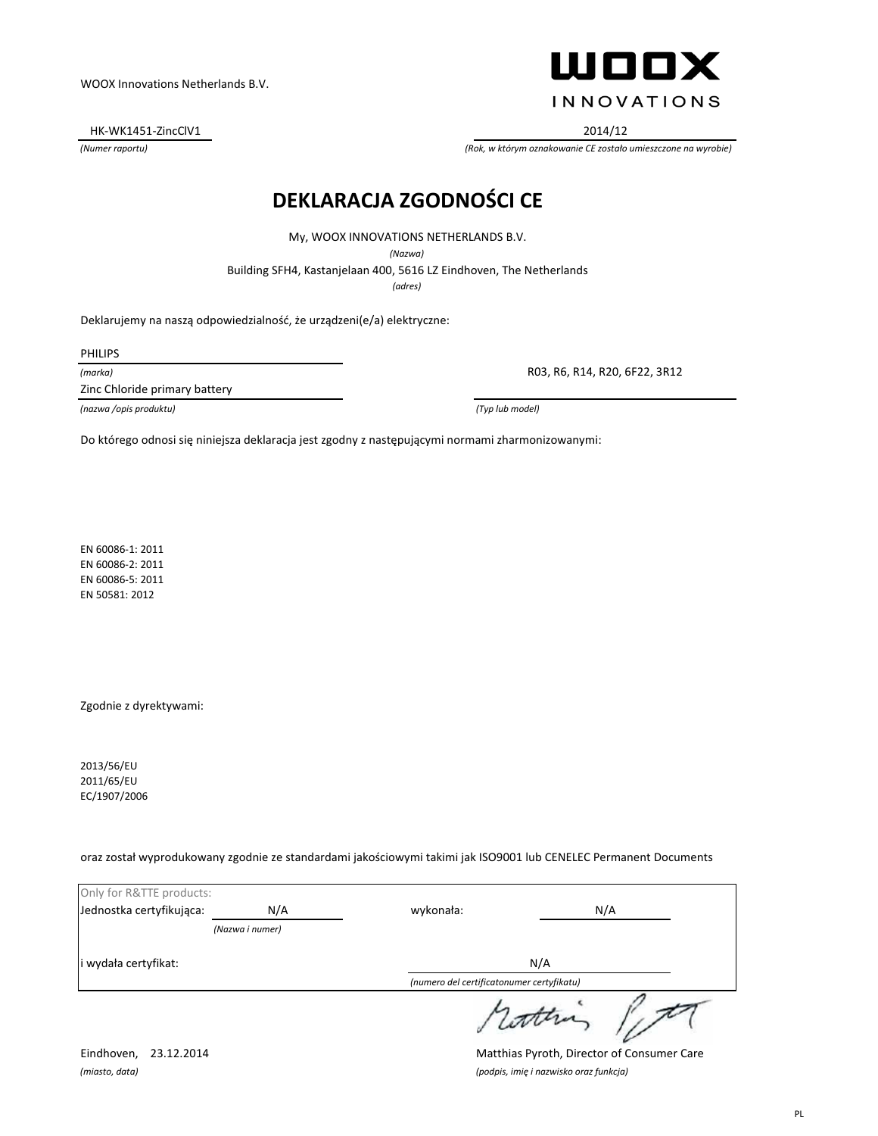HK-WK1451-ZincClV1 2014/12

WOOX **INNOVATIONS** 

*(Numer raportu) (Rok, w którym oznakowanie CE zostało umieszczone na wyrobie)*

### **DEKLARACJA ZGODNOŚCI CE**

My, WOOX INNOVATIONS NETHERLANDS B.V.

*(Nazwa)*

Building SFH4, Kastanjelaan 400, 5616 LZ Eindhoven, The Netherlands

*(adres)*

Deklarujemy na naszą odpowiedzialność, że urządzeni(e/a) elektryczne:

PHILIPS

*(marka)*

Zinc Chloride primary battery

R03, R6, R14, R20, 6F22, 3R12

*(nazwa /opis produktu) (Typ lub model)*

Do którego odnosi się niniejsza deklaracja jest zgodny z następującymi normami zharmonizowanymi:

EN 60086-1: 2011 EN 60086-2: 2011 EN 60086-5: 2011 EN 50581: 2012

Zgodnie z dyrektywami:

2013/56/EU 2011/65/EU EC/1907/2006

oraz został wyprodukowany zgodnie ze standardami jakościowymi takimi jak ISO9001 lub CENELEC Permanent Documents

| Only for R&TTE products: |                 |                                           |         |
|--------------------------|-----------------|-------------------------------------------|---------|
| Jednostka certyfikująca: | N/A             | wykonała:                                 | N/A     |
|                          | (Nazwa i numer) |                                           |         |
| wydała certyfikat:       |                 | N/A                                       |         |
|                          |                 | (numero del certificatonumer certyfikatu) |         |
|                          |                 |                                           | 1 comma |

Eindhoven, 23.12.2014 Matthias Pyroth, Director of Consumer Care *(miasto, data) (podpis, imię i nazwisko oraz funkcja)*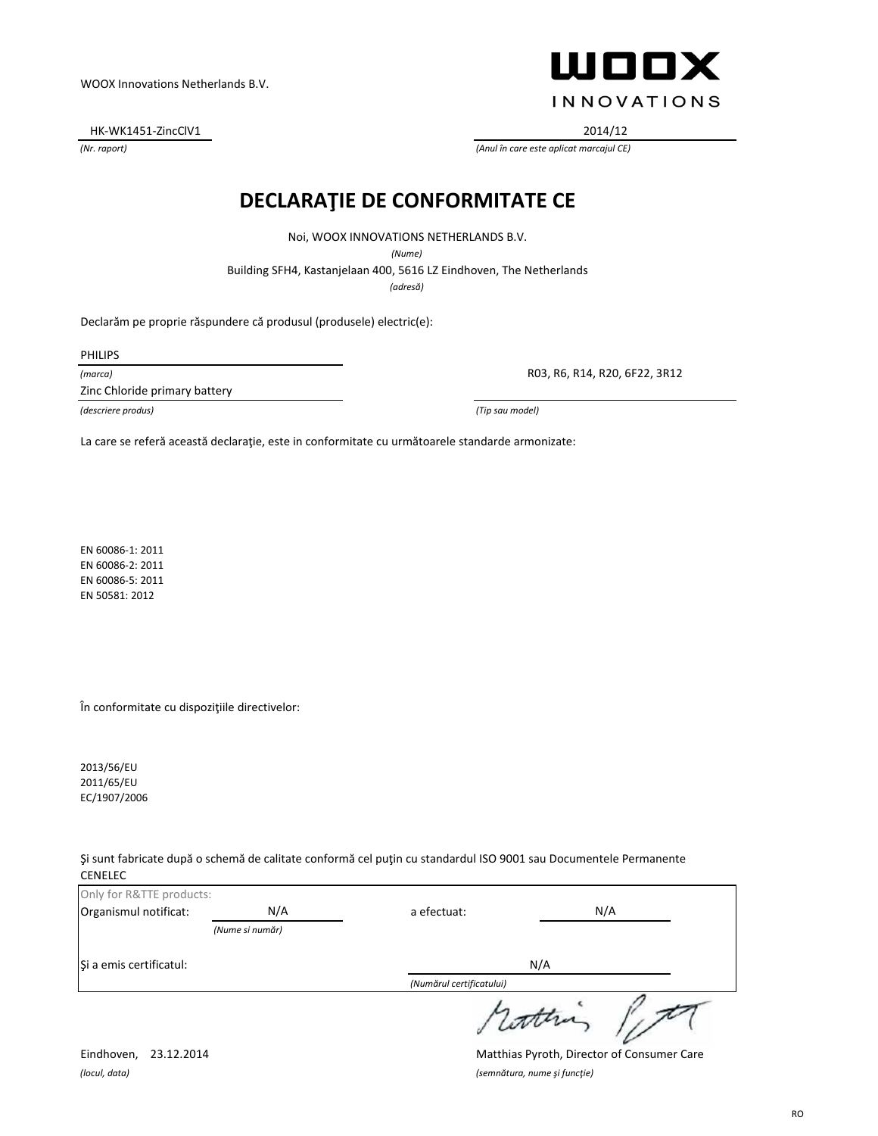Noi, WOOX INNOVATIONS NETHERLANDS B.V. *(Nume)*

**DECLARAŢIE DE CONFORMITATE CE**

Building SFH4, Kastanjelaan 400, 5616 LZ Eindhoven, The Netherlands

*(adresă)*

Declarăm pe proprie răspundere că produsul (produsele) electric(e):

PHILIPS

*(marca)*

Zinc Chloride primary battery

R03, R6, R14, R20, 6F22, 3R12

*(descriere produs) (Tip sau model)*

La care se referă această declarație, este in conformitate cu următoarele standarde armonizate:

EN 60086-1: 2011 EN 60086-2: 2011 EN 60086-5: 2011 EN 50581: 2012

În conformitate cu dispoziţiile directivelor:

2013/56/EU 2011/65/EU EC/1907/2006

Şi sunt fabricate după o schemă de calitate conformă cel puţin cu standardul ISO 9001 sau Documentele Permanente CENELEC

| Only for R&TTE products: |                 |                          |  |
|--------------------------|-----------------|--------------------------|--|
| Organismul notificat:    | N/A             | N/A<br>a efectuat:       |  |
|                          | (Nume si număr) |                          |  |
| Și a emis certificatul:  |                 | N/A                      |  |
|                          |                 | (Numărul certificatului) |  |
|                          |                 |                          |  |

Eindhoven, 23.12.2014 Matthias Pyroth, Director of Consumer Care *(locul, data) (semnătura, nume şi funcţie)*



HK-WK1451-ZincClV1 2014/12

*(Nr. raport) (Anul în care este aplicat marcajul CE)*

WOOX Innovations Netherlands B.V.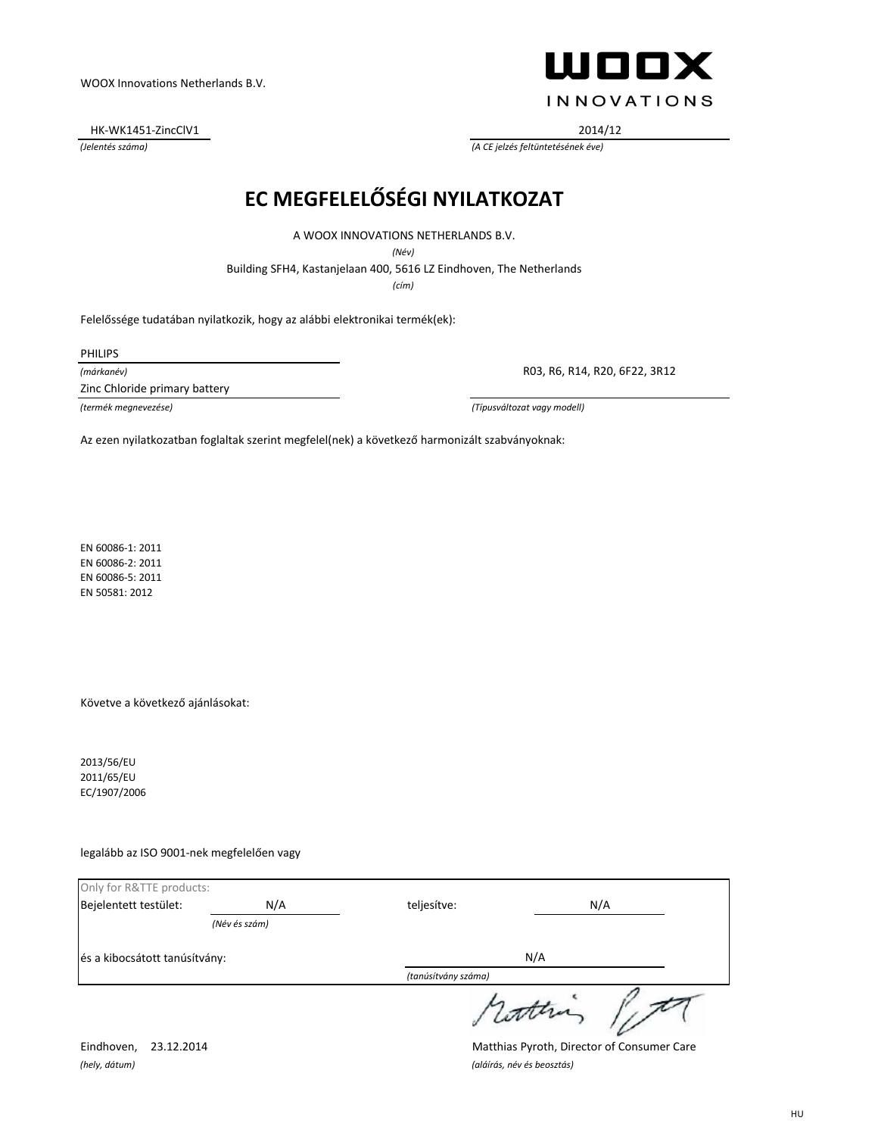HK-WK1451-ZincClV1 2014/12



*(Jelentés száma) (A CE jelzés feltüntetésének éve)*

## **EC MEGFELELŐSÉGI NYILATKOZAT**

A WOOX INNOVATIONS NETHERLANDS B.V.

*(Név)*

Building SFH4, Kastanjelaan 400, 5616 LZ Eindhoven, The Netherlands

*(cím)*

Felelőssége tudatában nyilatkozik, hogy az alábbi elektronikai termék(ek):

PHILIPS

*(márkanév)*

Zinc Chloride primary battery

R03, R6, R14, R20, 6F22, 3R12

*(termék megnevezése) (Típusváltozat vagy modell)*

Az ezen nyilatkozatban foglaltak szerint megfelel(nek) a következő harmonizált szabványoknak:

EN 60086-1: 2011 EN 60086-2: 2011 EN 60086-5: 2011 EN 50581: 2012

Követve a következő ajánlásokat:

2013/56/EU 2011/65/EU EC/1907/2006

legalább az ISO 9001-nek megfelelően vagy

| Only for R&TTE products:      |               |                     |  |
|-------------------------------|---------------|---------------------|--|
| Bejelentett testület:         | N/A           | N/A<br>teljesítve:  |  |
|                               | (Név és szám) |                     |  |
| és a kibocsátott tanúsítvány: |               | N/A                 |  |
|                               |               | (tanúsítvány száma) |  |
|                               |               | rotten              |  |

*(hely, dátum) (aláírás, név és beosztás)*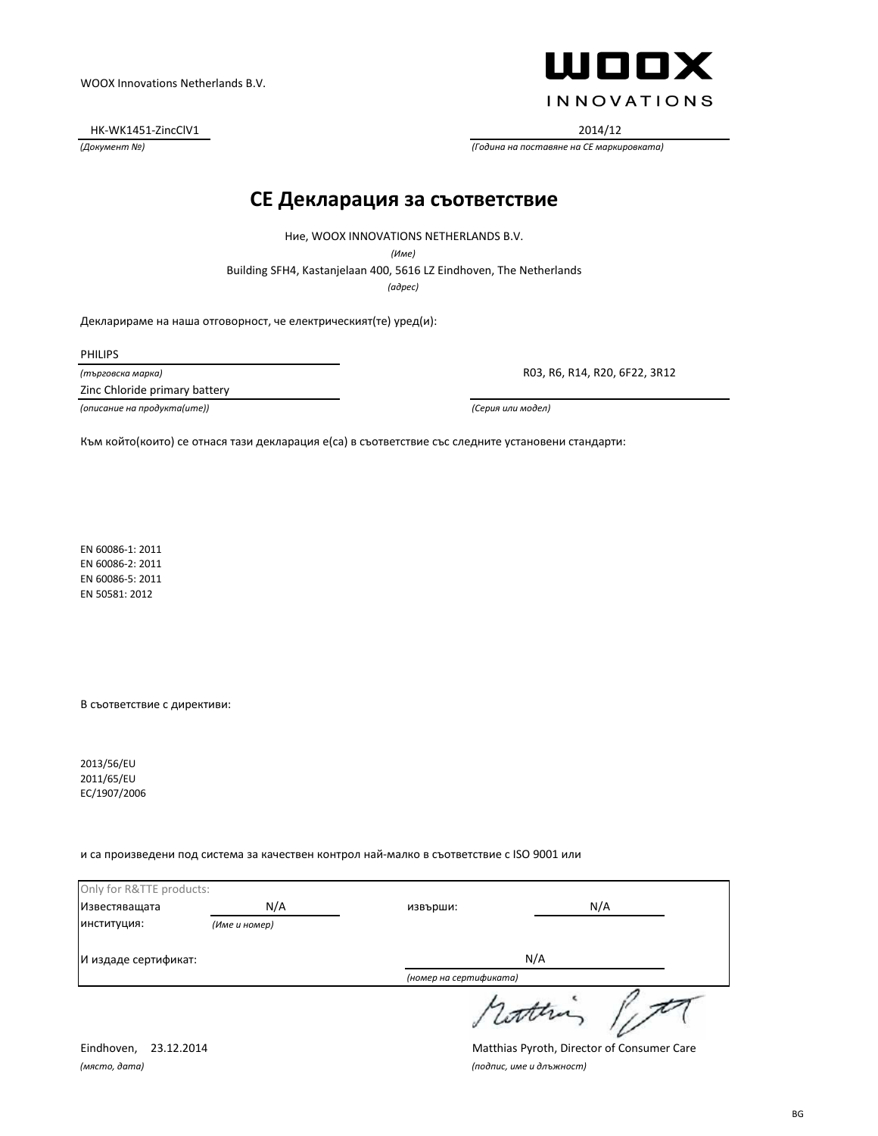HK-WK1451-ZincClV1 2014/12



*(Документ №) (Година на поставяне на CE маркировката)*

#### **CE Декларация за съответствие**

Ние, WOOX INNOVATIONS NETHERLANDS B.V.

*(Име)*

Building SFH4, Kastanjelaan 400, 5616 LZ Eindhoven, The Netherlands

*(адрес)*

Декларираме на наша отговорност, че електрическият(те) уред(и):

PHILIPS

*(търговска марка)*

Zinc Chloride primary battery

*(описание на продукта(ите)) (Серия или модел)*

R03, R6, R14, R20, 6F22, 3R12

Към който(които) се отнася тази декларация е(са) в съответствие със следните установени стандарти:

EN 60086-1: 2011 EN 60086-2: 2011 EN 60086-5: 2011 EN 50581: 2012

В съответствие с директиви:

2013/56/EU 2011/65/EU EC/1907/2006

и са произведени под система за качествен контрол най-малко в съответствие с ISO 9001 или

| Only for R&TTE products: |               |                        |     |  |
|--------------------------|---------------|------------------------|-----|--|
| Известяващата            | N/A           | извърши:               | N/A |  |
| институция:              | (Име и номер) |                        |     |  |
| И издаде сертификат:     |               | N/A                    |     |  |
|                          |               | (номер на сертификата) |     |  |
|                          |               | 1 latter               |     |  |

*(място, дата) (подпис, име и длъжност)*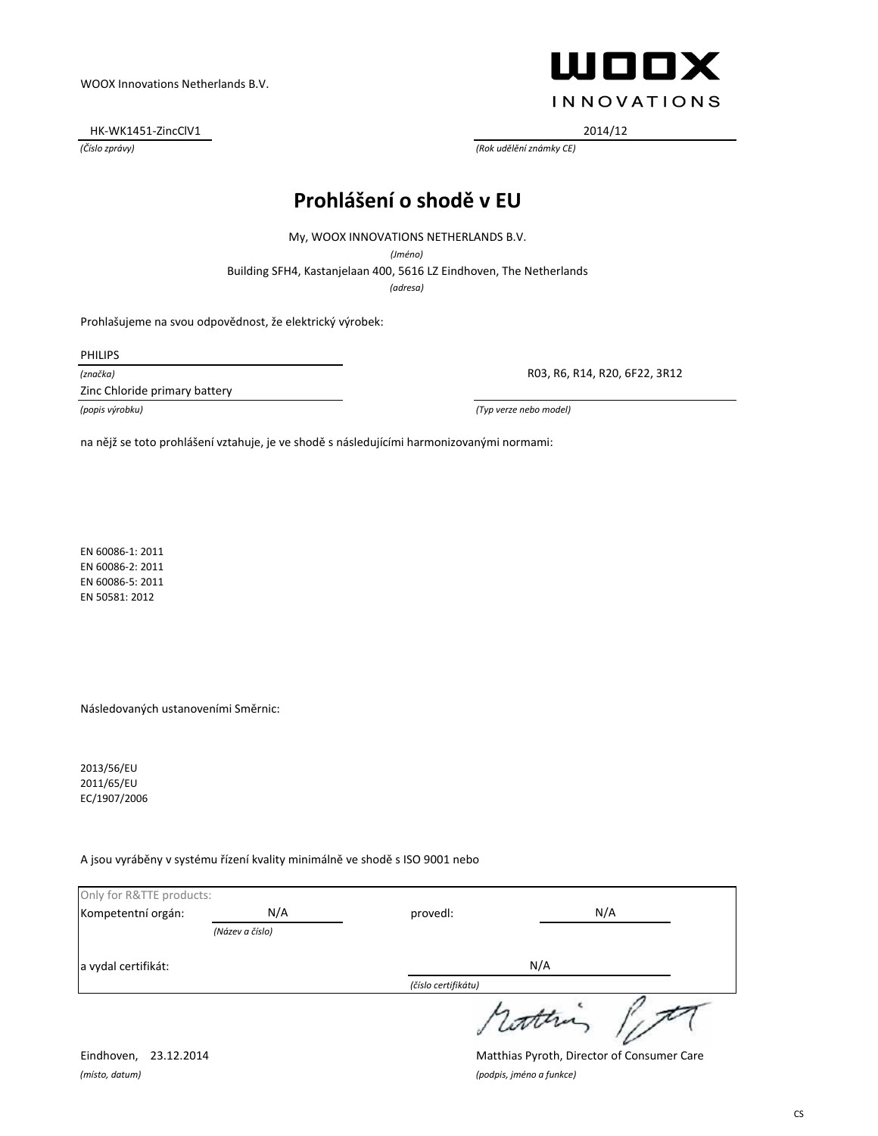HK-WK1451-ZincClV1 2014/12



*(Číslo zprávy) (Rok udělění známky CE)*

## **Prohlášení o shodě v EU**

My, WOOX INNOVATIONS NETHERLANDS B.V.

*(Jméno)*

Building SFH4, Kastanjelaan 400, 5616 LZ Eindhoven, The Netherlands

*(adresa)*

Prohlašujeme na svou odpovědnost, že elektrický výrobek:

PHILIPS

*(značka)*

Zinc Chloride primary battery

R03, R6, R14, R20, 6F22, 3R12

*(popis výrobku) (Typ verze nebo model)*

na nějž se toto prohlášení vztahuje, je ve shodě s následujícími harmonizovanými normami:

EN 60086-1: 2011 EN 60086-2: 2011 EN 60086-5: 2011 EN 50581: 2012

Následovaných ustanoveními Směrnic:

2013/56/EU 2011/65/EU EC/1907/2006

A jsou vyráběny v systému řízení kvality minimálně ve shodě s ISO 9001 nebo

| Only for R&TTE products: |                 |                     |       |
|--------------------------|-----------------|---------------------|-------|
| Kompetentní orgán:       | N/A             | provedl:            | N/A   |
|                          | (Název a číslo) |                     |       |
| a vydal certifikát:      |                 | N/A                 |       |
|                          |                 | (číslo certifikátu) |       |
|                          |                 |                     | datha |

*(místo, datum) (podpis, jméno a funkce)*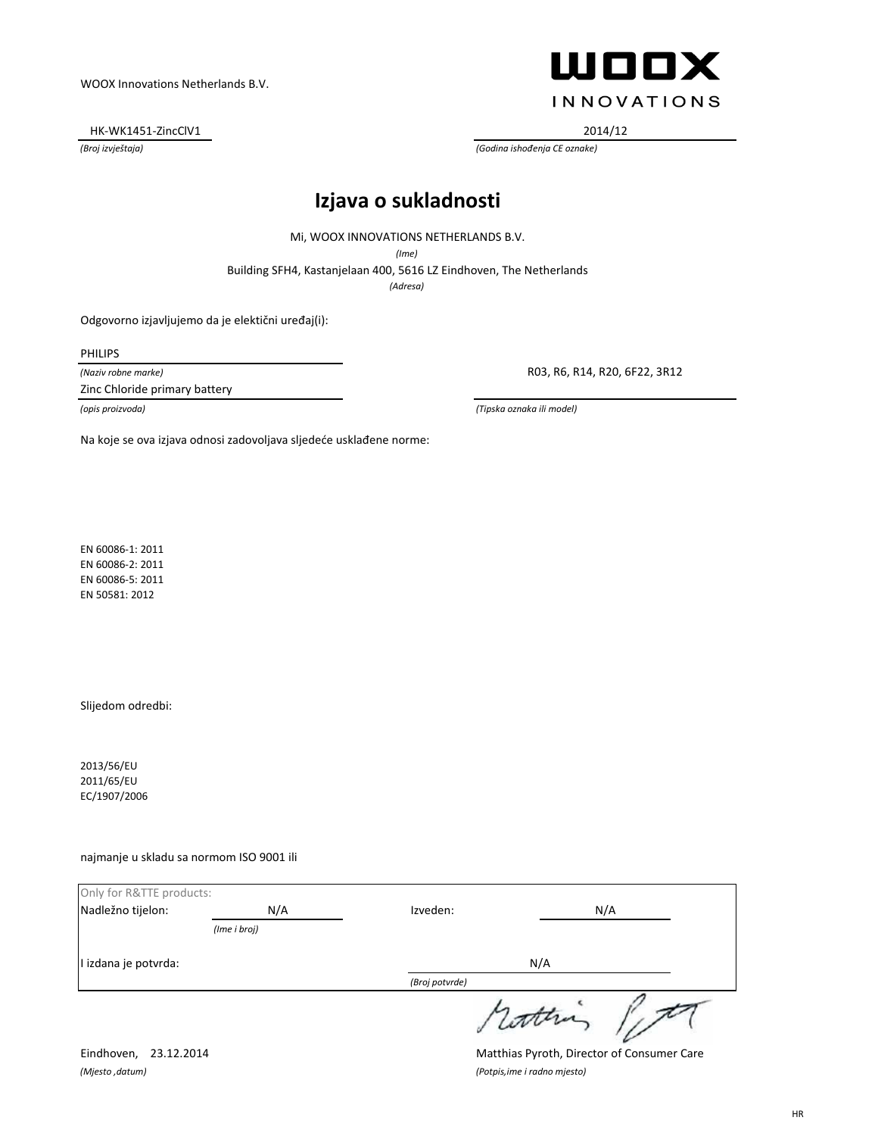HK-WK1451-ZincClV1 2014/12



*(Broj izvještaja) (Godina ishođenja CE oznake)*

### **Izjava o sukladnosti**

Mi, WOOX INNOVATIONS NETHERLANDS B.V.

*(Ime)*

Building SFH4, Kastanjelaan 400, 5616 LZ Eindhoven, The Netherlands

*(Adresa)*

Odgovorno izjavljujemo da je elektični uređaj(i):

PHILIPS

*(Naziv robne marke)*

Zinc Chloride primary battery

R03, R6, R14, R20, 6F22, 3R12

*(opis proizvoda) (Tipska oznaka ili model)*

Na koje se ova izjava odnosi zadovoljava sljedeće usklađene norme:

EN 60086-1: 2011 EN 60086-2: 2011 EN 60086-5: 2011 EN 50581: 2012

Slijedom odredbi:

2013/56/EU 2011/65/EU EC/1907/2006

najmanje u skladu sa normom ISO 9001 ili

| Only for R&TTE products: |              |                |           |
|--------------------------|--------------|----------------|-----------|
| Nadležno tijelon:        | N/A          | Izveden:       | N/A       |
|                          | (Ime i broj) |                |           |
| I izdana je potvrda:     |              | N/A            |           |
|                          |              | (Broj potvrde) |           |
|                          |              |                | 1 lattera |

*(Mjesto ,datum) (Potpis,ime i radno mjesto)*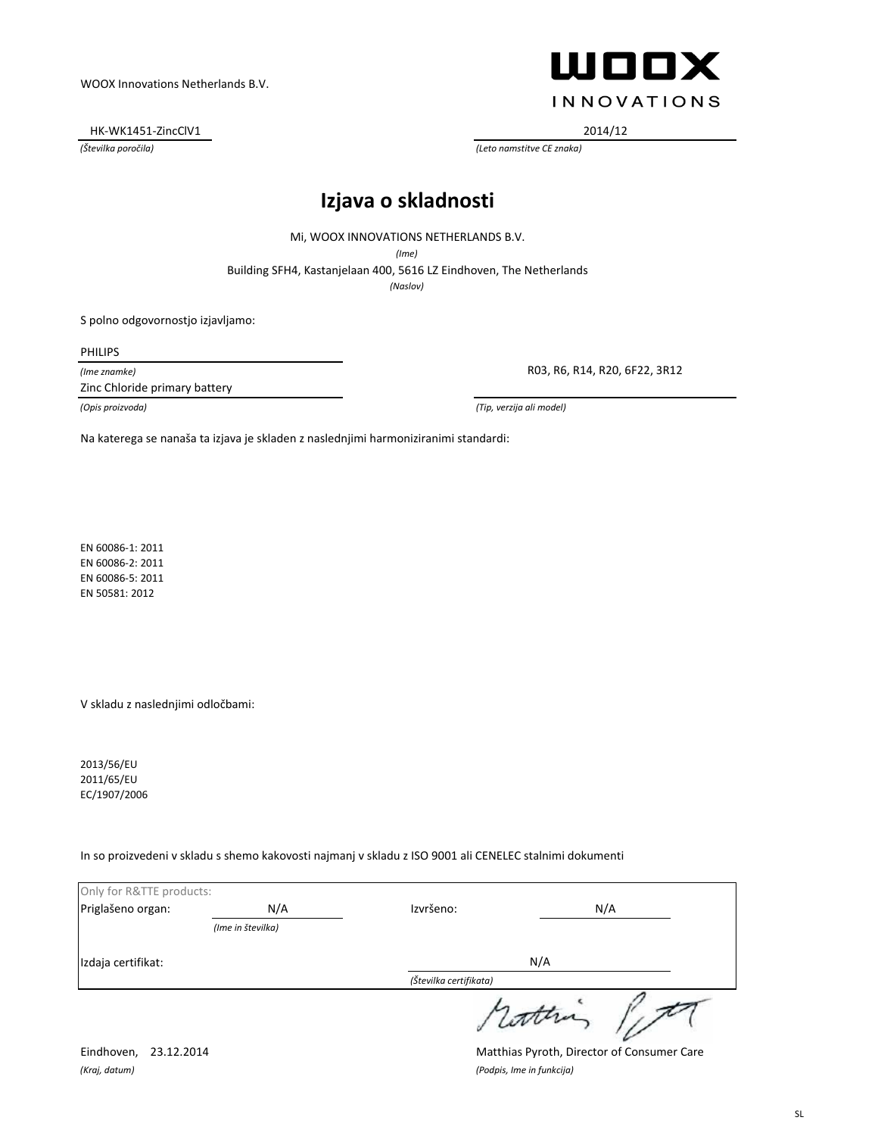HK-WK1451-ZincClV1 2014/12



*(Številka poročila) (Leto namstitve CE znaka)*

### **Izjava o skladnosti**

Mi, WOOX INNOVATIONS NETHERLANDS B.V.

*(Ime)*

Building SFH4, Kastanjelaan 400, 5616 LZ Eindhoven, The Netherlands

*(Naslov)*

S polno odgovornostjo izjavljamo:

PHILIPS

*(Ime znamke)*

Zinc Chloride primary battery

R03, R6, R14, R20, 6F22, 3R12

*(Opis proizvoda) (Tip, verzija ali model)*

Na katerega se nanaša ta izjava je skladen z naslednjimi harmoniziranimi standardi:

EN 60086-1: 2011 EN 60086-2: 2011 EN 60086-5: 2011 EN 50581: 2012

V skladu z naslednjimi odločbami:

2013/56/EU 2011/65/EU EC/1907/2006

In so proizvedeni v skladu s shemo kakovosti najmanj v skladu z ISO 9001 ali CENELEC stalnimi dokumenti

| Only for R&TTE products: |                   |                        |          |
|--------------------------|-------------------|------------------------|----------|
| Priglašeno organ:        | N/A               | Izvršeno:              | N/A      |
|                          | (Ime in številka) |                        |          |
| Izdaja certifikat:       |                   | N/A                    |          |
|                          |                   | (Številka certifikata) |          |
|                          |                   |                        | 1 Lotten |

*(Kraj, datum) (Podpis, Ime in funkcija)*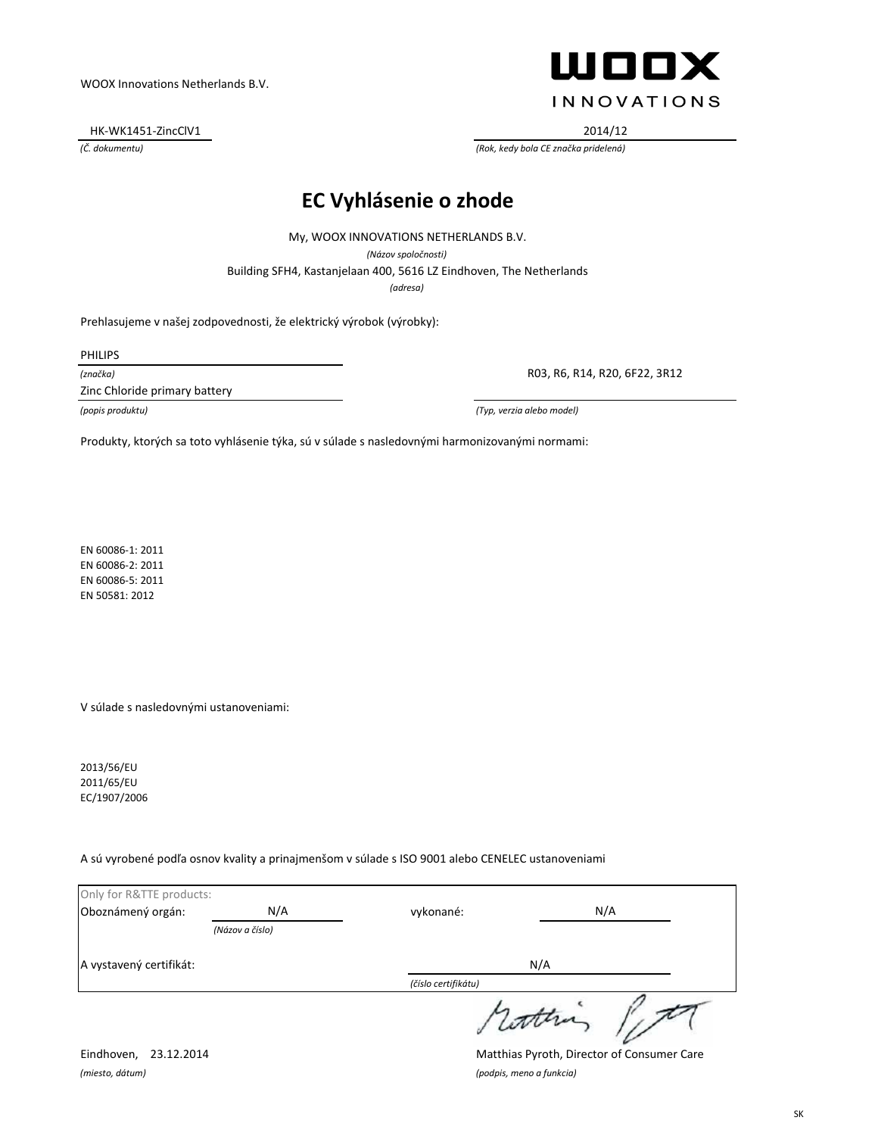HK-WK1451-ZincClV1 2014/12



*(Č. dokumentu) (Rok, kedy bola CE značka pridelená)*

## **EC Vyhlásenie o zhode**

Building SFH4, Kastanjelaan 400, 5616 LZ Eindhoven, The Netherlands My, WOOX INNOVATIONS NETHERLANDS B.V. *(Názov spoločnosti) (adresa)*

Prehlasujeme v našej zodpovednosti, že elektrický výrobok (výrobky):

PHILIPS

*(značka)*

Zinc Chloride primary battery

R03, R6, R14, R20, 6F22, 3R12

*(popis produktu) (Typ, verzia alebo model)*

Produkty, ktorých sa toto vyhlásenie týka, sú v súlade s nasledovnými harmonizovanými normami:

EN 60086-1: 2011 EN 60086-2: 2011 EN 60086-5: 2011 EN 50581: 2012

V súlade s nasledovnými ustanoveniami:

2013/56/EU 2011/65/EU EC/1907/2006

A sú vyrobené podľa osnov kvality a prinajmenšom v súlade s ISO 9001 alebo CENELEC ustanoveniami

| Only for R&TTE products: |                 |                     |           |
|--------------------------|-----------------|---------------------|-----------|
| Oboznámený orgán:        | N/A             | vykonané:           | N/A       |
|                          | (Názov a číslo) |                     |           |
| A vystavený certifikát:  |                 | N/A                 |           |
|                          |                 | (číslo certifikátu) |           |
|                          |                 |                     | 1 lattera |

*(miesto, dátum) (podpis, meno a funkcia)*

Eindhoven, 23.12.2014 Matthias Pyroth, Director of Consumer Care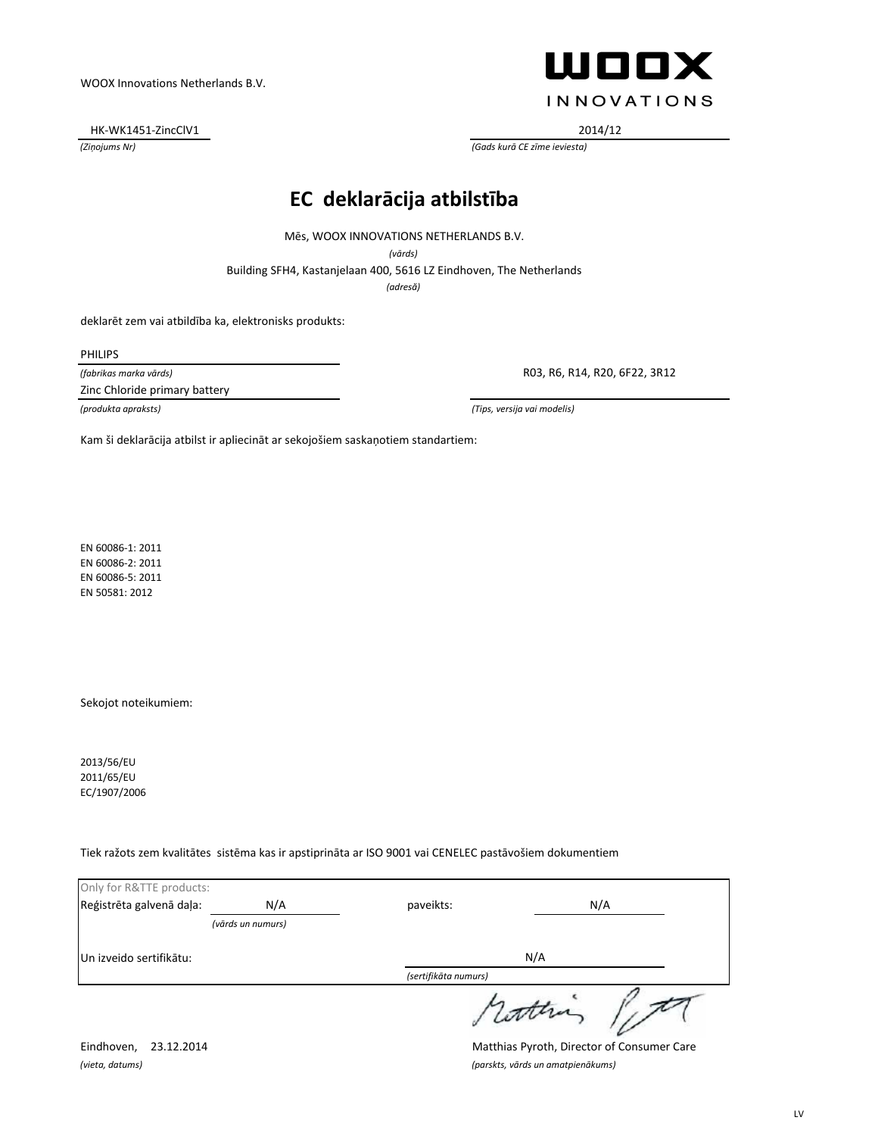HK-WK1451-ZincClV1 2014/12



*(Ziņojums Nr) (Gads kurā CE zīme ieviesta)*

### **EC deklarācija atbilstība**

Mēs, WOOX INNOVATIONS NETHERLANDS B.V.

*(vārds)*

Building SFH4, Kastanjelaan 400, 5616 LZ Eindhoven, The Netherlands

*(adresă)*

deklarēt zem vai atbildība ka, elektronisks produkts:

PHILIPS

*(fabrikas marka vārds)*

Zinc Chloride primary battery

R03, R6, R14, R20, 6F22, 3R12

*(produkta apraksts) (Tips, versija vai modelis)*

Kam ši deklarācija atbilst ir apliecināt ar sekojošiem saskaņotiem standartiem:

EN 60086-1: 2011 EN 60086-2: 2011 EN 60086-5: 2011 EN 50581: 2012

Sekojot noteikumiem:

2013/56/EU 2011/65/EU EC/1907/2006

Tiek ražots zem kvalitātes sistēma kas ir apstiprināta ar ISO 9001 vai CENELEC pastāvošiem dokumentiem

| Only for R&TTE products: |                   |                      |        |  |
|--------------------------|-------------------|----------------------|--------|--|
| Reģistrēta galvenā daļa: | N/A               | paveikts:            | N/A    |  |
|                          | (vārds un numurs) |                      |        |  |
| Un izveido sertifikātu:  |                   | N/A                  |        |  |
|                          |                   | (sertifikāta numurs) |        |  |
|                          |                   |                      | retten |  |

Eindhoven, 23.12.2014 Matthias Pyroth, Director of Consumer Care *(vieta, datums) (parskts, vārds un amatpienākums)*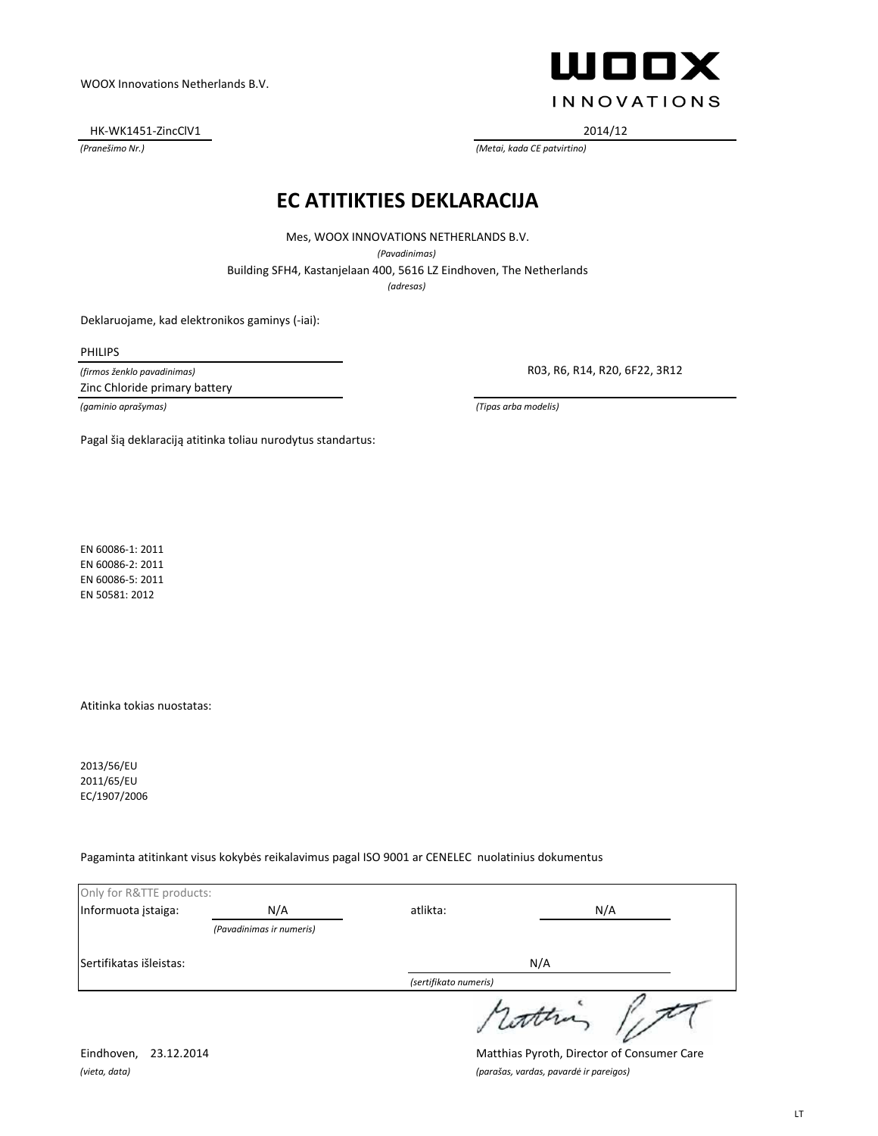HK-WK1451-ZincClV1 2014/12



*(Pranešimo Nr.) (Metai, kada CE patvirtino)*

### **EC ATITIKTIES DEKLARACIJA**

Mes, WOOX INNOVATIONS NETHERLANDS B.V.

*(Pavadinimas)*

Building SFH4, Kastanjelaan 400, 5616 LZ Eindhoven, The Netherlands

*(adresas)*

Deklaruojame, kad elektronikos gaminys (-iai):

PHILIPS

*(firmos ženklo pavadinimas)*

Zinc Chloride primary battery

R03, R6, R14, R20, 6F22, 3R12

*(gaminio aprašymas) (Tipas arba modelis)*

Pagal šią deklaraciją atitinka toliau nurodytus standartus:

EN 60086-1: 2011 EN 60086-2: 2011 EN 60086-5: 2011 EN 50581: 2012

Atitinka tokias nuostatas:

2013/56/EU 2011/65/EU EC/1907/2006

Pagaminta atitinkant visus kokybės reikalavimus pagal ISO 9001 ar CENELEC nuolatinius dokumentus

| Only for R&TTE products: |                          |                       |        |
|--------------------------|--------------------------|-----------------------|--------|
| Informuota įstaiga:      | N/A                      | atlikta:              | N/A    |
|                          | (Pavadinimas ir numeris) |                       |        |
| Sertifikatas išleistas:  |                          | N/A                   |        |
|                          |                          | (sertifikato numeris) |        |
|                          |                          |                       | sconna |

Eindhoven, 23.12.2014 Matthias Pyroth, Director of Consumer Care *(vieta, data) (parašas, vardas, pavardė ir pareigos)*